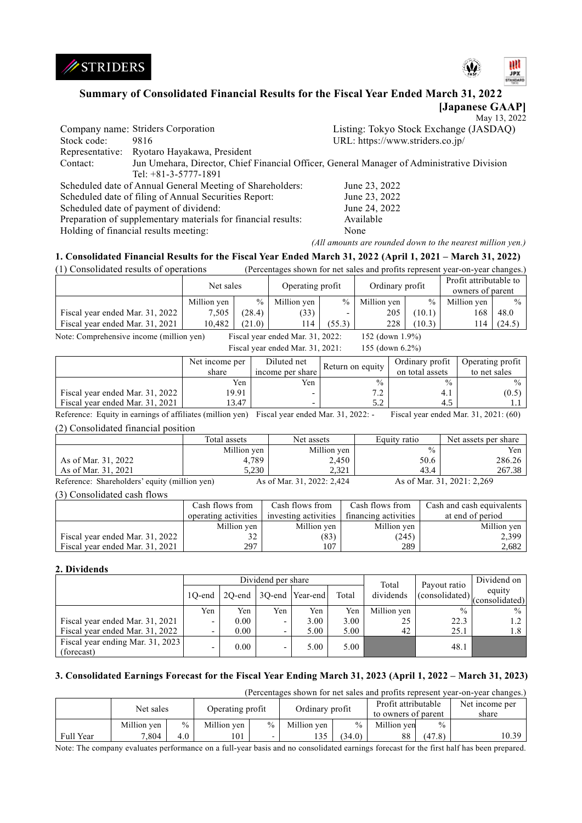



# **Summary of Consolidated Financial Results for the Fiscal Year Ended March 31, 2022**

**[Japanese GAAP]** May 13, 2022

|             |                                                                                            | <b>IVILLY</b> $1.9.204$                |
|-------------|--------------------------------------------------------------------------------------------|----------------------------------------|
|             | Company name: Striders Corporation                                                         | Listing: Tokyo Stock Exchange (JASDAQ) |
| Stock code: | 9816                                                                                       | URL: https://www.striders.co.jp/       |
|             | Representative: Ryotaro Hayakawa, President                                                |                                        |
| Contact:    | Jun Umehara, Director, Chief Financial Officer, General Manager of Administrative Division |                                        |
|             | Tel: $+81-3-5777-1891$                                                                     |                                        |
|             | Scheduled date of Annual General Meeting of Shareholders:                                  | June 23, 2022                          |
|             | Scheduled date of filing of Annual Securities Report:                                      | June 23, 2022                          |
|             | Scheduled date of payment of dividend:                                                     | June 24, 2022                          |
|             | Preparation of supplementary materials for financial results:                              | Available                              |
|             | Holding of financial results meeting:                                                      | None                                   |

*(All amounts are rounded down to the nearest million yen.)*

## **1. Consolidated Financial Results for the Fiscal Year Ended March 31, 2022 (April 1, 2021 – March 31, 2022)**

(1) Consolidated results of operations (Percentages shown for net sales and profits represent year-on-year changes.)

|                                                                                                 | Net sales   |               | Operating profit |                          | Ordinary profit |               | Profit attributable to<br>owners of parent |               |
|-------------------------------------------------------------------------------------------------|-------------|---------------|------------------|--------------------------|-----------------|---------------|--------------------------------------------|---------------|
|                                                                                                 | Million yen | $\frac{0}{0}$ | Million yen      | $\%$                     | Million yen     | $\frac{0}{0}$ | Million yen                                | $\frac{0}{0}$ |
| Fiscal year ended Mar. 31, 2022                                                                 | 7,505       | (28.4)        | (33)             | $\overline{\phantom{0}}$ | 205             | (10.1)        | 168                                        | 48.0          |
| Fiscal year ended Mar. 31, 2021                                                                 | 10.482      | (21.0)        | l 14             | (55.3)                   | 228             | (10.3)        | 14                                         | (24.5)        |
| Note: Comprehensive income (million yen)<br>Fiscal year ended Mar. 31, 2022:<br>152 (down 1.9%) |             |               |                  |                          |                 |               |                                            |               |

| Fiscal year ended Mar. 31, 2021: |  | 155 (down 6.2%) |  |
|----------------------------------|--|-----------------|--|

|                                 | Net income per<br>share | Diluted net<br>income per share | Return on equity | Ordinary profit<br>on total assets | Operating profit<br>to net sales |
|---------------------------------|-------------------------|---------------------------------|------------------|------------------------------------|----------------------------------|
|                                 | Yen                     | Yen                             | $\frac{0}{0}$    | $\frac{0}{0}$                      | $\frac{0}{0}$                    |
| Fiscal year ended Mar. 31, 2022 | 19.91                   |                                 | $\sim$ $\sim$    | 4.1                                | (0.5)                            |
| Fiscal year ended Mar. 31, 2021 | 13.47                   |                                 |                  |                                    |                                  |

Reference: Equity in earnings of affiliates (million yen) Fiscal year ended Mar. 31, 2022: - Fiscal year ended Mar. 31, 2021: (60) (2) Consolidated financial position

|                                               | Total assets | Net assets                 | Equity ratio  | Net assets per share       |
|-----------------------------------------------|--------------|----------------------------|---------------|----------------------------|
|                                               | Million yen  | Million yen                | $\frac{0}{0}$ | Yen.                       |
| As of Mar. 31, 2022                           | 4.789        | 2,450                      | 50.6          | 286.26                     |
| As of Mar. 31, 2021                           | 5.230        | 2.321                      | 43.4          | 267.38                     |
| Reference: Shareholders' equity (million yen) |              | As of Mar. 31, 2022: 2,424 |               | As of Mar. 31, 2021: 2,269 |

(3) Consolidated cash flows

|                                 | Cash flows from<br>operating activities | Cash flows from<br>investing activities | Cash flows from<br>financing activities | Cash and cash equivalents<br>at end of period |
|---------------------------------|-----------------------------------------|-----------------------------------------|-----------------------------------------|-----------------------------------------------|
|                                 | Million yen                             | Million yen                             | Million yen                             | Million ven                                   |
| Fiscal year ended Mar. 31, 2022 |                                         | (83)                                    | (245)                                   | 2,399                                         |
| Fiscal year ended Mar. 31, 2021 | 297                                     | 107                                     | 289                                     | 2,682                                         |

### **2. Dividends**

|                                                | Dividend per share |      |     |                            |       | Total       | Payout ratio  | Dividend on              |
|------------------------------------------------|--------------------|------|-----|----------------------------|-------|-------------|---------------|--------------------------|
|                                                | $10$ -end          |      |     | 2Q-end   3Q-end   Year-end | Total | dividends   | (considered)  | equity<br>(consolidated) |
|                                                | Yen                | Yen  | Yen | Yen                        | Yen   | Million yen | $\frac{0}{0}$ | $\frac{0}{0}$            |
| Fiscal year ended Mar. 31, 2021                | -                  | 0.00 | -   | 3.00                       | 3.00  | 25          | 22.3          | 1.2                      |
| Fiscal year ended Mar. 31, 2022                |                    | 0.00 | ۰   | 5.00                       | 5.00  | 42          | 25.1          | 1.8                      |
| Fiscal year ending Mar. 31, 2023<br>(forecast) |                    | 0.00 | ٠   | 5.00                       | 5.00  |             | 48.1          |                          |

## **3. Consolidated Earnings Forecast for the Fiscal Year Ending March 31, 2023 (April 1, 2022 – March 31, 2023)**

(Percentages shown for net sales and profits represent year-on-year changes.)

|           | Net sales   |               | Operating profit |      | Ordinary profit |               | Profit attributable<br>to owners of parent |        | Net income per<br>share |
|-----------|-------------|---------------|------------------|------|-----------------|---------------|--------------------------------------------|--------|-------------------------|
|           | Million ven | $\frac{0}{0}$ | Million ven      | $\%$ | Million ven     | $\frac{0}{0}$ | Million ven                                | $\%$   |                         |
| Full Year | 7.804       | 4.0           | 101              | -    | 135             | (34.0)        | 88                                         | (47.8) | 10.39                   |

Note: The company evaluates performance on a full-year basis and no consolidated earnings forecast for the first half has been prepared.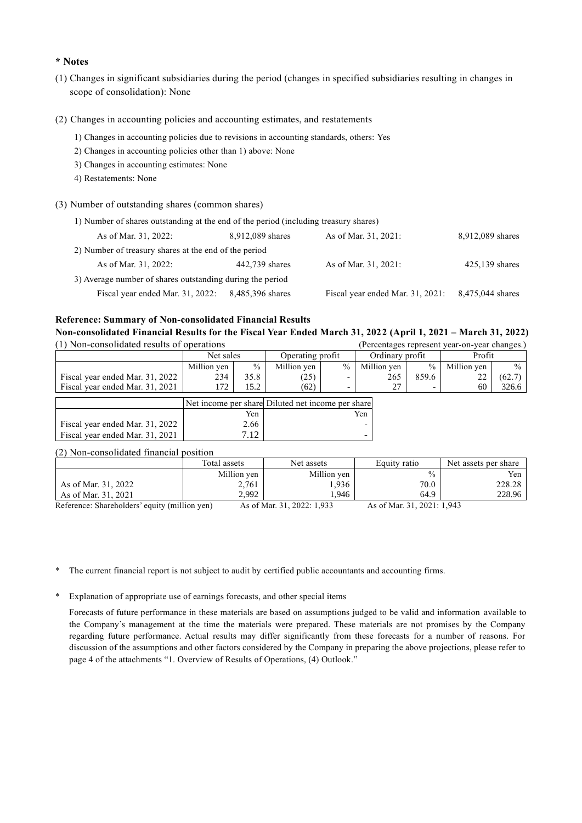## **\* Notes**

- (1) Changes in significant subsidiaries during the period (changes in specified subsidiaries resulting in changes in scope of consolidation): None
- (2) Changes in accounting policies and accounting estimates, and restatements
	- 1) Changes in accounting policies due to revisions in accounting standards, others: Yes
	- 2) Changes in accounting policies other than 1) above: None
	- 3) Changes in accounting estimates: None
	- 4) Restatements: None
- (3) Number of outstanding shares (common shares)

| 1) Number of shares outstanding at the end of the period (including treasury shares) |                  |                                  |                  |
|--------------------------------------------------------------------------------------|------------------|----------------------------------|------------------|
| As of Mar. 31, 2022:                                                                 | 8,912,089 shares | As of Mar. 31, 2021:             | 8,912,089 shares |
| 2) Number of treasury shares at the end of the period                                |                  |                                  |                  |
| As of Mar. 31, 2022:                                                                 | 442,739 shares   | As of Mar. 31, 2021:             | $425,139$ shares |
| 3) Average number of shares outstanding during the period                            |                  |                                  |                  |
| Fiscal year ended Mar. 31, 2022:                                                     | 8,485,396 shares | Fiscal year ended Mar. 31, 2021: | 8,475,044 shares |

### **Reference: Summary of Non-consolidated Financial Results**

**Non-consolidated Financial Results for the Fiscal Year Ended March 31, 2022 (April 1, 2021 – March 31, 2022)**  $(1)$  Non-consolidated results of operations (Percentages)

| (1) Non-consolidated results of oberations |             |               |                  |      |                 |       | (Percentages represent year-on-year changes.) |               |  |
|--------------------------------------------|-------------|---------------|------------------|------|-----------------|-------|-----------------------------------------------|---------------|--|
|                                            | Net sales   |               | Operating profit |      | Ordinary profit |       | Profit                                        |               |  |
|                                            | Million ven | $\frac{0}{0}$ | Million ven      | $\%$ | Million ven     | $\%$  | Million ven                                   | $\frac{0}{0}$ |  |
| Fiscal year ended Mar. 31, 2022            | 234         | 35.8          | (25)             |      | 265             | 859.6 |                                               | $(62.7)$ 1    |  |
| Fiscal vear ended Mar. 31, 2021            | 172.        | 15.2          | (62)             | -    | 27              |       | 60                                            | 326.6         |  |
| $ -$                                       |             |               |                  |      |                 |       |                                               |               |  |

|                                 |      | Net income per share Diluted net income per share |
|---------------------------------|------|---------------------------------------------------|
|                                 | Yen  | Yen                                               |
| Fiscal year ended Mar. 31, 2022 | 2.66 |                                                   |
| Fiscal year ended Mar. 31, 2021 | 717  |                                                   |

(2) Non-consolidated financial position

|                                                                                           | Total assets | Net assets               | Equity ratio                           | Net assets per share |
|-------------------------------------------------------------------------------------------|--------------|--------------------------|----------------------------------------|----------------------|
|                                                                                           | Million yen  | Million yen              | $\frac{0}{0}$                          | Yen                  |
| As of Mar. 31, 2022                                                                       | 2,761        | .936                     | 70.0                                   | 228.28               |
| As of Mar. 31, 2021                                                                       | 2.992        | .946                     | 64.9                                   | 228.96               |
| $D_n$ for $n \ge 0$ $D_{n-1}$ $D_{n-1}$ $D_{n-2}$ $D_{n-1}$ $D_{n-1}$ $D_{n-1}$ $D_{n-1}$ |              | $A = -11A - 212A - 213A$ | $A = -4 M$ <sub>2</sub> $21 2021 1042$ |                      |

Reference: Shareholders' equity (million yen) As of Mar. 31, 2022: 1,933 As of Mar. 31, 2021: 1,943

- \* The current financial report is not subject to audit by certified public accountants and accounting firms.
- \* Explanation of appropriate use of earnings forecasts, and other special items

Forecasts of future performance in these materials are based on assumptions judged to be valid and information available to the Company's management at the time the materials were prepared. These materials are not promises by the Company regarding future performance. Actual results may differ significantly from these forecasts for a number of reasons. For discussion of the assumptions and other factors considered by the Company in preparing the above projections, please refer to page 4 of the attachments "1. Overview of Results of Operations, (4) Outlook."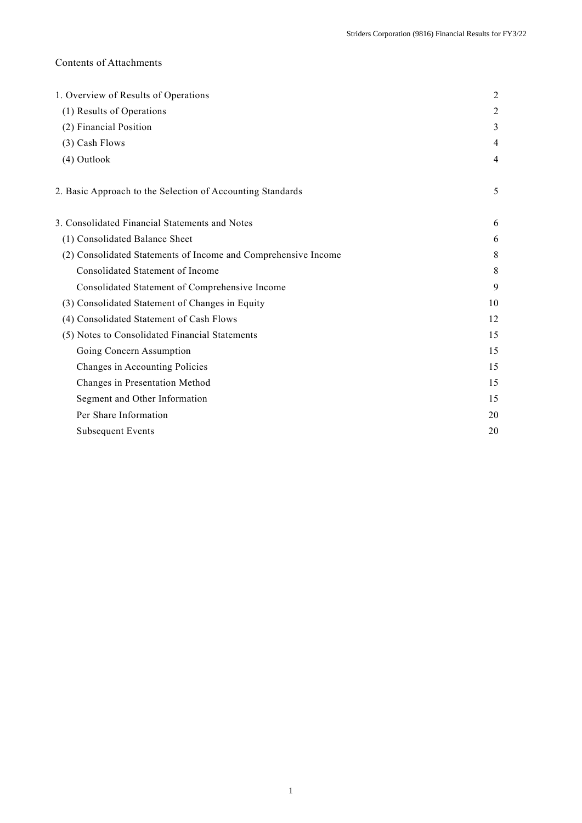## Contents of Attachments

| 1. Overview of Results of Operations                           |    |  |  |  |  |
|----------------------------------------------------------------|----|--|--|--|--|
| (1) Results of Operations                                      |    |  |  |  |  |
| (2) Financial Position                                         | 3  |  |  |  |  |
| (3) Cash Flows                                                 | 4  |  |  |  |  |
| (4) Outlook                                                    | 4  |  |  |  |  |
| 2. Basic Approach to the Selection of Accounting Standards     | 5  |  |  |  |  |
| 3. Consolidated Financial Statements and Notes                 | 6  |  |  |  |  |
| (1) Consolidated Balance Sheet                                 | 6  |  |  |  |  |
| (2) Consolidated Statements of Income and Comprehensive Income | 8  |  |  |  |  |
| Consolidated Statement of Income                               | 8  |  |  |  |  |
| Consolidated Statement of Comprehensive Income                 | 9  |  |  |  |  |
| (3) Consolidated Statement of Changes in Equity                | 10 |  |  |  |  |
| (4) Consolidated Statement of Cash Flows                       | 12 |  |  |  |  |
| (5) Notes to Consolidated Financial Statements                 | 15 |  |  |  |  |
| Going Concern Assumption                                       | 15 |  |  |  |  |
| Changes in Accounting Policies                                 | 15 |  |  |  |  |
| Changes in Presentation Method                                 | 15 |  |  |  |  |
| Segment and Other Information                                  | 15 |  |  |  |  |
| Per Share Information                                          | 20 |  |  |  |  |
| <b>Subsequent Events</b>                                       | 20 |  |  |  |  |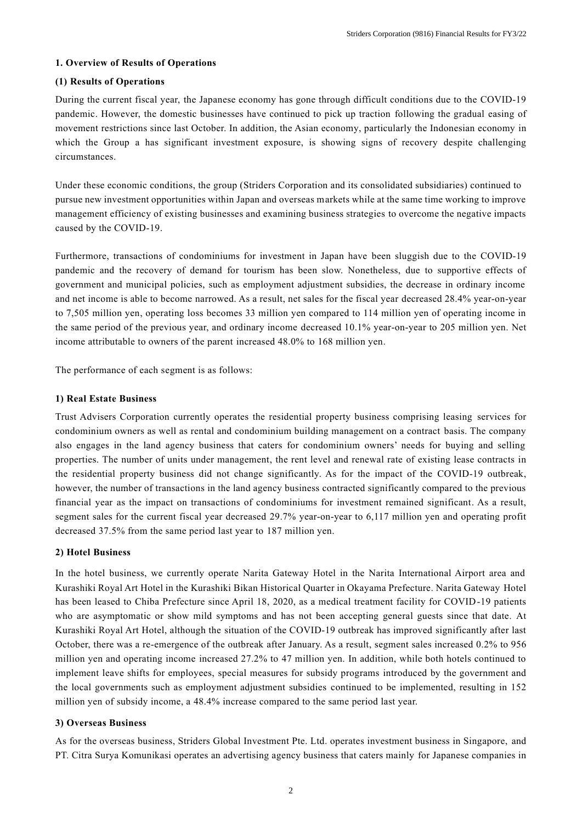## **1. Overview of Results of Operations**

## **(1) Results of Operations**

During the current fiscal year, the Japanese economy has gone through difficult conditions due to the COVID-19 pandemic. However, the domestic businesses have continued to pick up traction following the gradual easing of movement restrictions since last October. In addition, the Asian economy, particularly the Indonesian economy in which the Group a has significant investment exposure, is showing signs of recovery despite challenging circumstances.

Under these economic conditions, the group (Striders Corporation and its consolidated subsidiaries) continued to pursue new investment opportunities within Japan and overseas markets while at the same time working to improve management efficiency of existing businesses and examining business strategies to overcome the negative impacts caused by the COVID-19.

Furthermore, transactions of condominiums for investment in Japan have been sluggish due to the COVID-19 pandemic and the recovery of demand for tourism has been slow. Nonetheless, due to supportive effects of government and municipal policies, such as employment adjustment subsidies, the decrease in ordinary income and net income is able to become narrowed. As a result, net sales for the fiscal year decreased 28.4% year-on-year to 7,505 million yen, operating loss becomes 33 million yen compared to 114 million yen of operating income in the same period of the previous year, and ordinary income decreased 10.1% year-on-year to 205 million yen. Net income attributable to owners of the parent increased 48.0% to 168 million yen.

The performance of each segment is as follows:

### **1) Real Estate Business**

Trust Advisers Corporation currently operates the residential property business comprising leasing services for condominium owners as well as rental and condominium building management on a contract basis. The company also engages in the land agency business that caters for condominium owners' needs for buying and selling properties. The number of units under management, the rent level and renewal rate of existing lease contracts in the residential property business did not change significantly. As for the impact of the COVID-19 outbreak, however, the number of transactions in the land agency business contracted significantly compared to the previous financial year as the impact on transactions of condominiums for investment remained significant. As a result, segment sales for the current fiscal year decreased 29.7% year-on-year to 6,117 million yen and operating profit decreased 37.5% from the same period last year to 187 million yen.

## **2) Hotel Business**

In the hotel business, we currently operate Narita Gateway Hotel in the Narita International Airport area and Kurashiki Royal Art Hotel in the Kurashiki Bikan Historical Quarter in Okayama Prefecture. Narita Gateway Hotel has been leased to Chiba Prefecture since April 18, 2020, as a medical treatment facility for COVID-19 patients who are asymptomatic or show mild symptoms and has not been accepting general guests since that date. At Kurashiki Royal Art Hotel, although the situation of the COVID-19 outbreak has improved significantly after last October, there was a re-emergence of the outbreak after January. As a result, segment sales increased 0.2% to 956 million yen and operating income increased 27.2% to 47 million yen. In addition, while both hotels continued to implement leave shifts for employees, special measures for subsidy programs introduced by the government and the local governments such as employment adjustment subsidies continued to be implemented, resulting in 152 million yen of subsidy income, a 48.4% increase compared to the same period last year.

### **3) Overseas Business**

As for the overseas business, Striders Global Investment Pte. Ltd. operates investment business in Singapore, and PT. Citra Surya Komunikasi operates an advertising agency business that caters mainly for Japanese companies in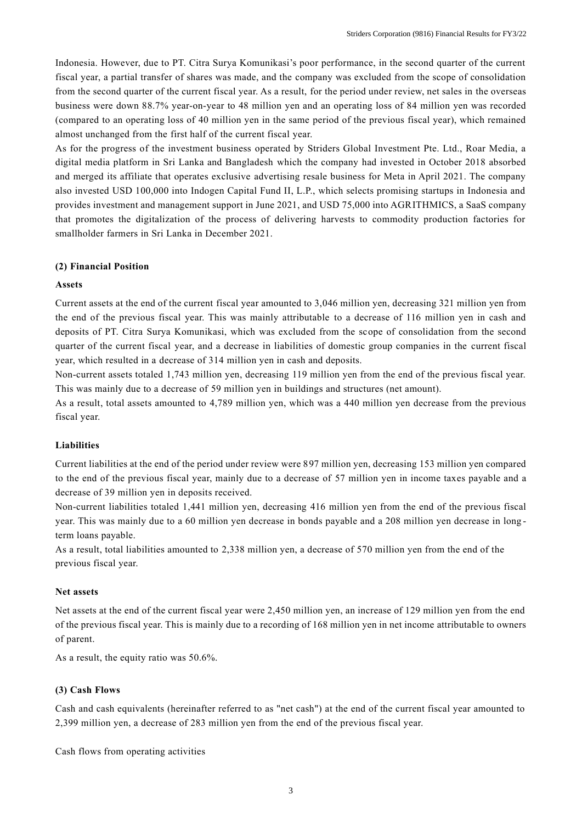Indonesia. However, due to PT. Citra Surya Komunikasi's poor performance, in the second quarter of the current fiscal year, a partial transfer of shares was made, and the company was excluded from the scope of consolidation from the second quarter of the current fiscal year. As a result, for the period under review, net sales in the overseas business were down 88.7% year-on-year to 48 million yen and an operating loss of 84 million yen was recorded (compared to an operating loss of 40 million yen in the same period of the previous fiscal year), which remained almost unchanged from the first half of the current fiscal year.

As for the progress of the investment business operated by Striders Global Investment Pte. Ltd., Roar Media, a digital media platform in Sri Lanka and Bangladesh which the company had invested in October 2018 absorbed and merged its affiliate that operates exclusive advertising resale business for Meta in April 2021. The company also invested USD 100,000 into Indogen Capital Fund II, L.P., which selects promising startups in Indonesia and provides investment and management support in June 2021, and USD 75,000 into AGRITHMICS, a SaaS company that promotes the digitalization of the process of delivering harvests to commodity production factories for smallholder farmers in Sri Lanka in December 2021.

#### **(2) Financial Position**

#### **Assets**

Current assets at the end of the current fiscal year amounted to 3,046 million yen, decreasing 321 million yen from the end of the previous fiscal year. This was mainly attributable to a decrease of 116 million yen in cash and deposits of PT. Citra Surya Komunikasi, which was excluded from the scope of consolidation from the second quarter of the current fiscal year, and a decrease in liabilities of domestic group companies in the current fiscal year, which resulted in a decrease of 314 million yen in cash and deposits.

Non-current assets totaled 1,743 million yen, decreasing 119 million yen from the end of the previous fiscal year. This was mainly due to a decrease of 59 million yen in buildings and structures (net amount).

As a result, total assets amounted to 4,789 million yen, which was a 440 million yen decrease from the previous fiscal year.

### **Liabilities**

Current liabilities at the end of the period under review were 897 million yen, decreasing 153 million yen compared to the end of the previous fiscal year, mainly due to a decrease of 57 million yen in income taxes payable and a decrease of 39 million yen in deposits received.

Non-current liabilities totaled 1,441 million yen, decreasing 416 million yen from the end of the previous fiscal year. This was mainly due to a 60 million yen decrease in bonds payable and a 208 million yen decrease in long term loans payable.

As a result, total liabilities amounted to 2,338 million yen, a decrease of 570 million yen from the end of the previous fiscal year.

#### **Net assets**

Net assets at the end of the current fiscal year were 2,450 million yen, an increase of 129 million yen from the end of the previous fiscal year. This is mainly due to a recording of 168 million yen in net income attributable to owners of parent.

As a result, the equity ratio was 50.6%.

### **(3) Cash Flows**

Cash and cash equivalents (hereinafter referred to as "net cash") at the end of the current fiscal year amounted to 2,399 million yen, a decrease of 283 million yen from the end of the previous fiscal year.

Cash flows from operating activities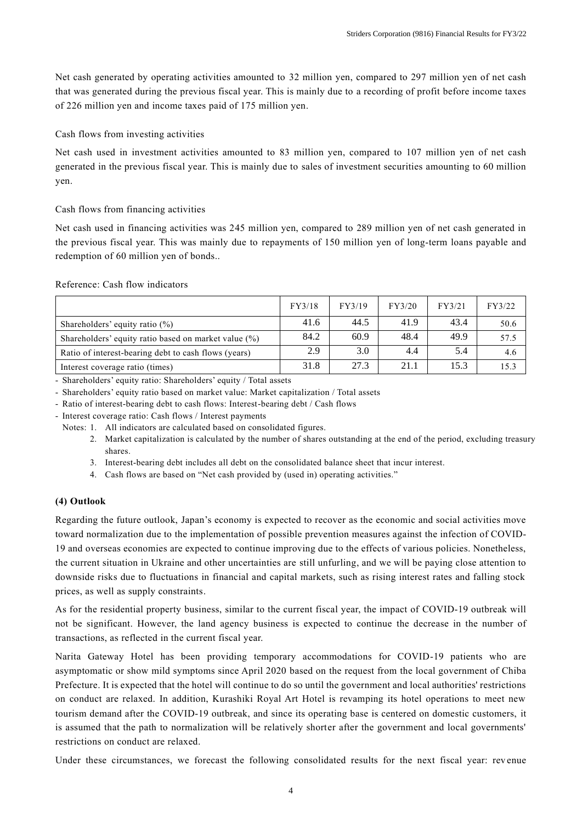Net cash generated by operating activities amounted to 32 million yen, compared to 297 million yen of net cash that was generated during the previous fiscal year. This is mainly due to a recording of profit before income taxes of 226 million yen and income taxes paid of 175 million yen.

## Cash flows from investing activities

Net cash used in investment activities amounted to 83 million yen, compared to 107 million yen of net cash generated in the previous fiscal year. This is mainly due to sales of investment securities amounting to 60 million yen.

### Cash flows from financing activities

Net cash used in financing activities was 245 million yen, compared to 289 million yen of net cash generated in the previous fiscal year. This was mainly due to repayments of 150 million yen of long-term loans payable and redemption of 60 million yen of bonds..

### Reference: Cash flow indicators

|                                                      | FY3/18 | FY3/19 | FY3/20 | FY3/21 | FY3/22 |
|------------------------------------------------------|--------|--------|--------|--------|--------|
| Shareholders' equity ratio $(\%)$                    | 41.6   | 44.5   | 41.9   | 43.4   | 50.6   |
| Shareholders' equity ratio based on market value (%) | 84.2   | 60.9   | 48.4   | 49.9   | 57.5   |
| Ratio of interest-bearing debt to cash flows (years) | 2.9    | 3.0    | 4.4    | 5.4    | 4.6    |
| Interest coverage ratio (times)                      | 31.8   | 27.3   | 21.1   | 15.3   | 15.3   |

- Shareholders' equity ratio: Shareholders' equity / Total assets

- Shareholders' equity ratio based on market value: Market capitalization / Total assets

- Ratio of interest-bearing debt to cash flows: Interest-bearing debt / Cash flows
- Interest coverage ratio: Cash flows / Interest payments
	- Notes: 1. All indicators are calculated based on consolidated figures.
		- 2. Market capitalization is calculated by the number of shares outstanding at the end of the period, excluding treasury shares.
		- 3. Interest-bearing debt includes all debt on the consolidated balance sheet that incur interest.
		- 4. Cash flows are based on "Net cash provided by (used in) operating activities."

### **(4) Outlook**

Regarding the future outlook, Japan's economy is expected to recover as the economic and social activities move toward normalization due to the implementation of possible prevention measures against the infection of COVID-19 and overseas economies are expected to continue improving due to the effects of various policies. Nonetheless, the current situation in Ukraine and other uncertainties are still unfurling, and we will be paying close attention to downside risks due to fluctuations in financial and capital markets, such as rising interest rates and falling stock prices, as well as supply constraints.

As for the residential property business, similar to the current fiscal year, the impact of COVID-19 outbreak will not be significant. However, the land agency business is expected to continue the decrease in the number of transactions, as reflected in the current fiscal year.

Narita Gateway Hotel has been providing temporary accommodations for COVID-19 patients who are asymptomatic or show mild symptoms since April 2020 based on the request from the local government of Chiba Prefecture. It is expected that the hotel will continue to do so until the government and local authorities' restrictions on conduct are relaxed. In addition, Kurashiki Royal Art Hotel is revamping its hotel operations to meet new tourism demand after the COVID-19 outbreak, and since its operating base is centered on domestic customers, it is assumed that the path to normalization will be relatively shorter after the government and local governments' restrictions on conduct are relaxed.

Under these circumstances, we forecast the following consolidated results for the next fiscal year: rev enue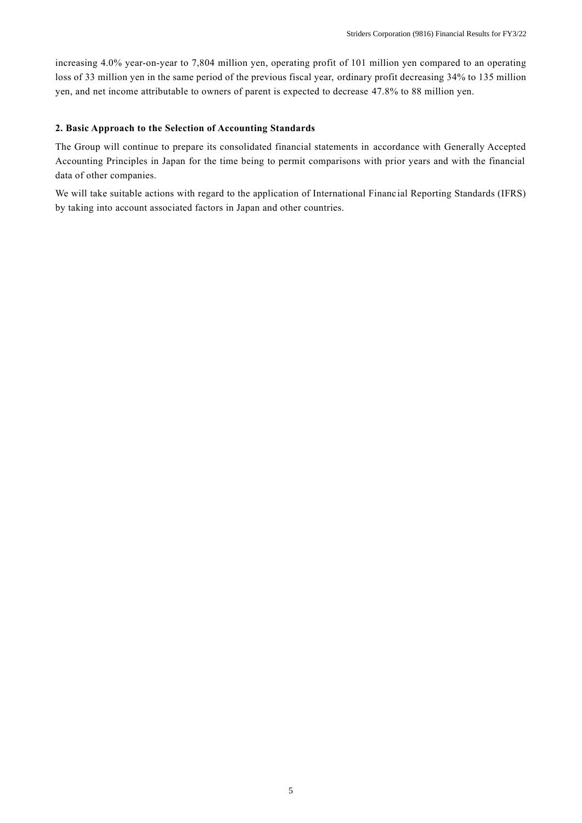increasing 4.0% year-on-year to 7,804 million yen, operating profit of 101 million yen compared to an operating loss of 33 million yen in the same period of the previous fiscal year, ordinary profit decreasing 34% to 135 million yen, and net income attributable to owners of parent is expected to decrease 47.8% to 88 million yen.

## **2. Basic Approach to the Selection of Accounting Standards**

The Group will continue to prepare its consolidated financial statements in accordance with Generally Accepted Accounting Principles in Japan for the time being to permit comparisons with prior years and with the financial data of other companies.

We will take suitable actions with regard to the application of International Financ ial Reporting Standards (IFRS) by taking into account associated factors in Japan and other countries.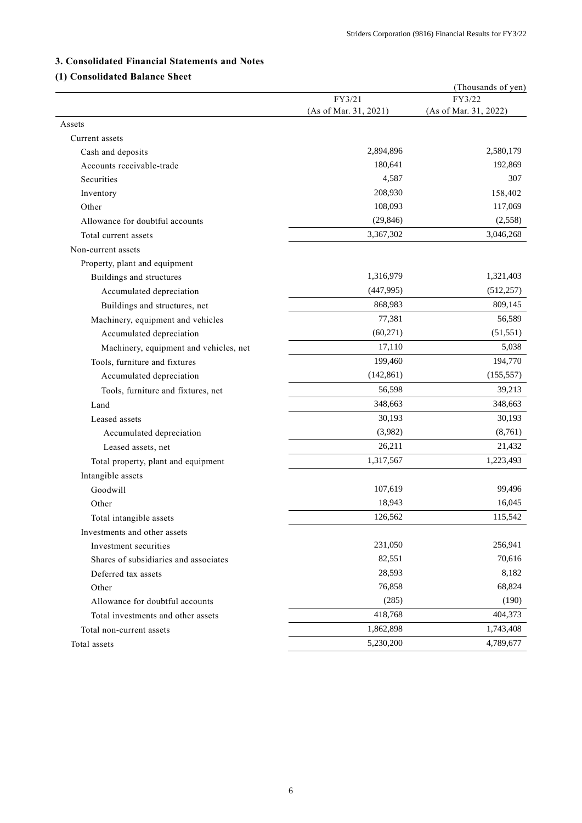## **3. Consolidated Financial Statements and Notes**

# **(1) Consolidated Balance Sheet**

| FY3/21<br>FY3/22<br>(As of Mar. 31, 2021)<br>(As of Mar. 31, 2022)<br>Assets<br>Current assets<br>2,894,896<br>Cash and deposits |            |
|----------------------------------------------------------------------------------------------------------------------------------|------------|
|                                                                                                                                  |            |
|                                                                                                                                  |            |
|                                                                                                                                  |            |
|                                                                                                                                  |            |
|                                                                                                                                  | 2,580,179  |
| 180,641<br>Accounts receivable-trade                                                                                             | 192,869    |
| 4,587<br>Securities                                                                                                              | 307        |
| 208,930<br>Inventory                                                                                                             | 158,402    |
| 108,093<br>Other                                                                                                                 | 117,069    |
| (29, 846)<br>Allowance for doubtful accounts                                                                                     | (2,558)    |
| 3,367,302<br>Total current assets                                                                                                | 3,046,268  |
| Non-current assets                                                                                                               |            |
| Property, plant and equipment                                                                                                    |            |
| 1,316,979<br>Buildings and structures                                                                                            | 1,321,403  |
| (447, 995)<br>Accumulated depreciation                                                                                           | (512, 257) |
| 868,983<br>Buildings and structures, net                                                                                         | 809,145    |
| 77,381<br>Machinery, equipment and vehicles                                                                                      | 56,589     |
| (60, 271)<br>Accumulated depreciation                                                                                            | (51, 551)  |
| 17,110<br>Machinery, equipment and vehicles, net                                                                                 | 5,038      |
| 199,460<br>Tools, furniture and fixtures                                                                                         | 194,770    |
| (142, 861)<br>Accumulated depreciation                                                                                           | (155, 557) |
| 56,598<br>Tools, furniture and fixtures, net                                                                                     | 39,213     |
| 348,663<br>Land                                                                                                                  | 348,663    |
| 30,193<br>Leased assets                                                                                                          | 30,193     |
| (3,982)<br>Accumulated depreciation                                                                                              | (8,761)    |
| 26,211<br>Leased assets, net                                                                                                     | 21,432     |
| 1,317,567<br>Total property, plant and equipment                                                                                 | 1,223,493  |
| Intangible assets                                                                                                                |            |
| 107,619<br>Goodwill                                                                                                              | 99,496     |
| 18,943<br>Other                                                                                                                  | 16,045     |
| 126,562<br>Total intangible assets                                                                                               | 115,542    |
| Investments and other assets                                                                                                     |            |
| 231,050<br>Investment securities                                                                                                 | 256,941    |
| 82,551<br>Shares of subsidiaries and associates                                                                                  | 70,616     |
| 28,593<br>Deferred tax assets                                                                                                    | 8,182      |
| 76,858<br>Other                                                                                                                  | 68,824     |
| (285)<br>Allowance for doubtful accounts                                                                                         | (190)      |
| 418,768<br>Total investments and other assets                                                                                    | 404,373    |
| 1,862,898<br>Total non-current assets                                                                                            | 1,743,408  |
| 5,230,200<br>Total assets                                                                                                        | 4,789,677  |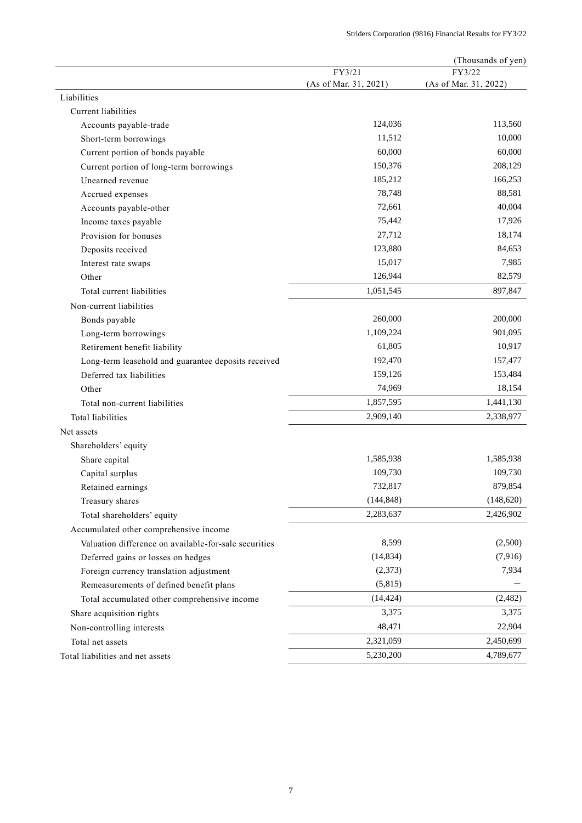|                                                             |                       | (Thousands of yen)              |
|-------------------------------------------------------------|-----------------------|---------------------------------|
|                                                             | FY3/21                | FY3/22<br>(As of Mar. 31, 2022) |
| Liabilities                                                 | (As of Mar. 31, 2021) |                                 |
| Current liabilities                                         |                       |                                 |
| Accounts payable-trade                                      | 124,036               | 113,560                         |
| Short-term borrowings                                       | 11,512                | 10,000                          |
| Current portion of bonds payable                            | 60,000                | 60,000                          |
|                                                             | 150,376               | 208,129                         |
| Current portion of long-term borrowings<br>Unearned revenue | 185,212               | 166,253                         |
|                                                             | 78,748                | 88,581                          |
| Accrued expenses                                            | 72,661                | 40,004                          |
| Accounts payable-other                                      |                       |                                 |
| Income taxes payable                                        | 75,442                | 17,926                          |
| Provision for bonuses                                       | 27,712                | 18,174                          |
| Deposits received                                           | 123,880               | 84,653                          |
| Interest rate swaps                                         | 15,017                | 7,985                           |
| Other                                                       | 126,944               | 82,579                          |
| Total current liabilities                                   | 1,051,545             | 897,847                         |
| Non-current liabilities                                     |                       |                                 |
| Bonds payable                                               | 260,000               | 200,000                         |
| Long-term borrowings                                        | 1,109,224             | 901,095                         |
| Retirement benefit liability                                | 61,805                | 10,917                          |
| Long-term leasehold and guarantee deposits received         | 192,470               | 157,477                         |
| Deferred tax liabilities                                    | 159,126               | 153,484                         |
| Other                                                       | 74,969                | 18,154                          |
| Total non-current liabilities                               | 1,857,595             | 1,441,130                       |
| <b>Total liabilities</b>                                    | 2,909,140             | 2,338,977                       |
| Net assets                                                  |                       |                                 |
| Shareholders' equity                                        |                       |                                 |
| Share capital                                               | 1,585,938             | 1,585,938                       |
| Capital surplus                                             | 109,730               | 109,730                         |
| Retained earnings                                           | 732,817               | 879,854                         |
| Treasury shares                                             | (144, 848)            | (148, 620)                      |
| Total shareholders' equity                                  | 2,283,637             | 2,426,902                       |
| Accumulated other comprehensive income                      |                       |                                 |
| Valuation difference on available-for-sale securities       | 8,599                 | (2,500)                         |
| Deferred gains or losses on hedges                          | (14, 834)             | (7,916)                         |
| Foreign currency translation adjustment                     | (2,373)               | 7,934                           |
| Remeasurements of defined benefit plans                     | (5,815)               |                                 |
| Total accumulated other comprehensive income                | (14, 424)             | (2,482)                         |
| Share acquisition rights                                    | 3,375                 | 3,375                           |
|                                                             | 48,471                | 22,904                          |
| Non-controlling interests                                   |                       |                                 |
| Total net assets                                            | 2,321,059             | 2,450,699                       |
| Total liabilities and net assets                            | 5,230,200             | 4,789,677                       |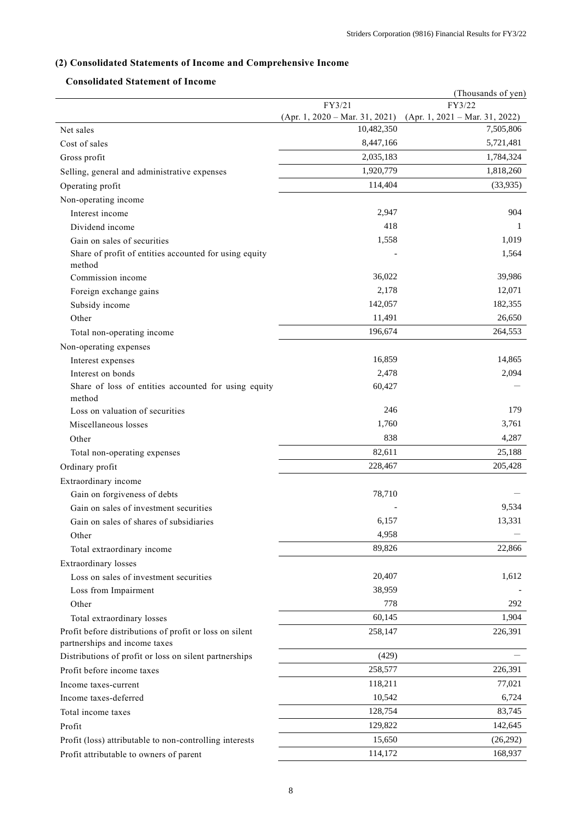# **(2) Consolidated Statements of Income and Comprehensive Income**

## **Consolidated Statement of Income**

|                                                                  |                                                | (Thousands of yen)               |
|------------------------------------------------------------------|------------------------------------------------|----------------------------------|
|                                                                  | FY3/21                                         | FY3/22                           |
| Net sales                                                        | $(Apr. 1, 2020 - Mar. 31, 2021)$<br>10,482,350 | $(Apr. 1, 2021 - Mar. 31, 2022)$ |
| Cost of sales                                                    | 8,447,166                                      | 7,505,806<br>5,721,481           |
|                                                                  | 2,035,183                                      | 1,784,324                        |
| Gross profit                                                     |                                                |                                  |
| Selling, general and administrative expenses                     | 1,920,779                                      | 1,818,260                        |
| Operating profit                                                 | 114,404                                        | (33,935)                         |
| Non-operating income                                             |                                                |                                  |
| Interest income                                                  | 2,947                                          | 904                              |
| Dividend income                                                  | 418                                            | 1                                |
| Gain on sales of securities                                      | 1,558                                          | 1,019                            |
| Share of profit of entities accounted for using equity<br>method |                                                | 1,564                            |
| Commission income                                                | 36,022                                         | 39,986                           |
| Foreign exchange gains                                           | 2,178                                          | 12,071                           |
| Subsidy income                                                   | 142,057                                        | 182,355                          |
| Other                                                            | 11,491                                         | 26,650                           |
| Total non-operating income                                       | 196,674                                        | 264,553                          |
| Non-operating expenses                                           |                                                |                                  |
| Interest expenses                                                | 16,859                                         | 14,865                           |
| Interest on bonds                                                | 2,478                                          | 2,094                            |
| Share of loss of entities accounted for using equity             | 60,427                                         |                                  |
| method                                                           |                                                |                                  |
| Loss on valuation of securities                                  | 246                                            | 179                              |
| Miscellaneous losses                                             | 1,760                                          | 3,761                            |
| Other                                                            | 838                                            | 4,287                            |
| Total non-operating expenses                                     | 82,611                                         | 25,188                           |
| Ordinary profit                                                  | 228,467                                        | 205,428                          |
| Extraordinary income                                             |                                                |                                  |
| Gain on forgiveness of debts                                     | 78,710                                         |                                  |
| Gain on sales of investment securities                           |                                                | 9,534                            |
| Gain on sales of shares of subsidiaries                          | 6,157                                          | 13,331                           |
| Other                                                            | 4,958                                          |                                  |
| Total extraordinary income                                       | 89,826                                         | 22,866                           |
| Extraordinary losses                                             |                                                |                                  |
| Loss on sales of investment securities                           | 20,407                                         | 1,612                            |
| Loss from Impairment                                             | 38,959                                         |                                  |
| Other                                                            | 778                                            | 292                              |
| Total extraordinary losses                                       | 60,145                                         | 1,904                            |
| Profit before distributions of profit or loss on silent          | 258,147                                        | 226,391                          |
| partnerships and income taxes                                    |                                                |                                  |
| Distributions of profit or loss on silent partnerships           | (429)                                          |                                  |
| Profit before income taxes                                       | 258,577                                        | 226,391                          |
| Income taxes-current                                             | 118,211                                        | 77,021                           |
| Income taxes-deferred                                            | 10,542                                         | 6,724                            |
| Total income taxes                                               | 128,754                                        | 83,745                           |
| Profit                                                           | 129,822                                        | 142,645                          |
| Profit (loss) attributable to non-controlling interests          | 15,650                                         | (26,292)                         |
| Profit attributable to owners of parent                          | 114,172                                        | 168,937                          |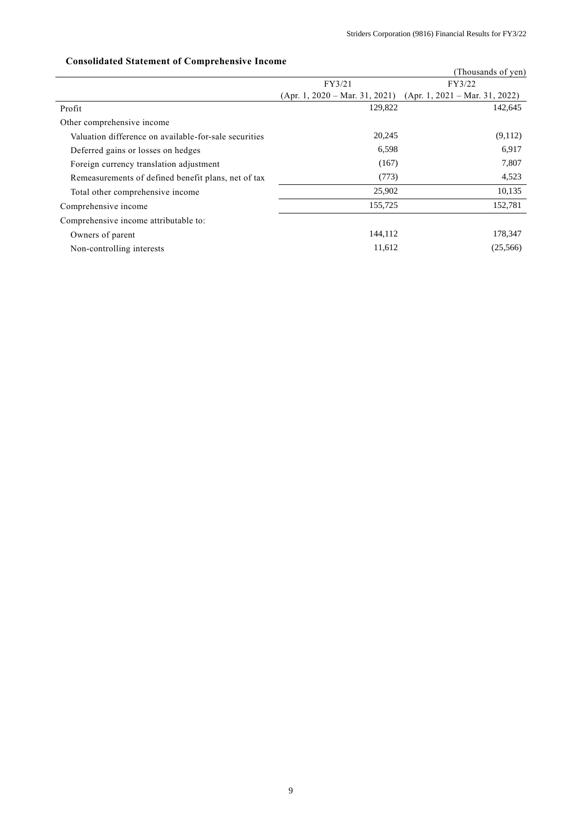|                                                       |                                  | (Thousands of yen)               |
|-------------------------------------------------------|----------------------------------|----------------------------------|
|                                                       | FY3/21                           | FY3/22                           |
|                                                       | $(Apr. 1, 2020 - Mar. 31, 2021)$ | $(Apr. 1, 2021 - Mar. 31, 2022)$ |
| Profit                                                | 129,822                          | 142,645                          |
| Other comprehensive income                            |                                  |                                  |
| Valuation difference on available-for-sale securities | 20,245                           | (9,112)                          |
| Deferred gains or losses on hedges                    | 6,598                            | 6,917                            |
| Foreign currency translation adjustment               | (167)                            | 7,807                            |
| Remeasurements of defined benefit plans, net of tax   | (773)                            | 4,523                            |
| Total other comprehensive income                      | 25,902                           | 10,135                           |
| Comprehensive income                                  | 155,725                          | 152,781                          |
| Comprehensive income attributable to:                 |                                  |                                  |
| Owners of parent                                      | 144,112                          | 178,347                          |
| Non-controlling interests                             | 11,612                           | (25,566)                         |

# **Consolidated Statement of Comprehensive Income**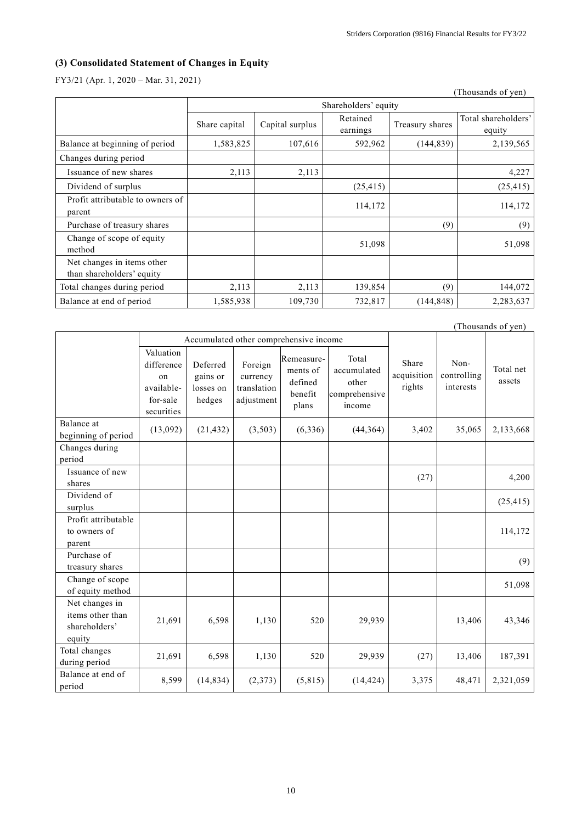# **(3) Consolidated Statement of Changes in Equity**

FY3/21 (Apr. 1, 2020 – Mar. 31, 2021)

|                                                         |               |                 |                      |                 | (Thousands of yen)            |
|---------------------------------------------------------|---------------|-----------------|----------------------|-----------------|-------------------------------|
|                                                         |               |                 | Shareholders' equity |                 |                               |
|                                                         | Share capital | Capital surplus | Retained<br>earnings | Treasury shares | Total shareholders'<br>equity |
| Balance at beginning of period                          | 1,583,825     | 107,616         | 592,962              | (144, 839)      | 2,139,565                     |
| Changes during period                                   |               |                 |                      |                 |                               |
| Issuance of new shares                                  | 2,113         | 2,113           |                      |                 | 4,227                         |
| Dividend of surplus                                     |               |                 | (25, 415)            |                 | (25, 415)                     |
| Profit attributable to owners of<br>parent              |               |                 | 114,172              |                 | 114,172                       |
| Purchase of treasury shares                             |               |                 |                      | (9)             | (9)                           |
| Change of scope of equity<br>method                     |               |                 | 51,098               |                 | 51,098                        |
| Net changes in items other<br>than shareholders' equity |               |                 |                      |                 |                               |
| Total changes during period                             | 2,113         | 2,113           | 139,854              | (9)             | 144,072                       |
| Balance at end of period                                | 1,585,938     | 109,730         | 732,817              | (144, 848)      | 2,283,637                     |

|                                                               |                                                                       |                                             |                                                  |                                                       |                                                          |                                |                                  | (Thousands of yen)  |
|---------------------------------------------------------------|-----------------------------------------------------------------------|---------------------------------------------|--------------------------------------------------|-------------------------------------------------------|----------------------------------------------------------|--------------------------------|----------------------------------|---------------------|
|                                                               | Accumulated other comprehensive income                                |                                             |                                                  |                                                       |                                                          |                                |                                  |                     |
|                                                               | Valuation<br>difference<br>on<br>available-<br>for-sale<br>securities | Deferred<br>gains or<br>losses on<br>hedges | Foreign<br>currency<br>translation<br>adjustment | Remeasure-<br>ments of<br>defined<br>benefit<br>plans | Total<br>accumulated<br>other<br>comprehensive<br>income | Share<br>acquisition<br>rights | Non-<br>controlling<br>interests | Total net<br>assets |
| Balance at<br>beginning of period                             | (13,092)                                                              | (21, 432)                                   | (3,503)                                          | (6, 336)                                              | (44, 364)                                                | 3,402                          | 35,065                           | 2,133,668           |
| Changes during<br>period                                      |                                                                       |                                             |                                                  |                                                       |                                                          |                                |                                  |                     |
| Issuance of new<br>shares                                     |                                                                       |                                             |                                                  |                                                       |                                                          | (27)                           |                                  | 4,200               |
| Dividend of<br>surplus                                        |                                                                       |                                             |                                                  |                                                       |                                                          |                                |                                  | (25, 415)           |
| Profit attributable<br>to owners of<br>parent                 |                                                                       |                                             |                                                  |                                                       |                                                          |                                |                                  | 114,172             |
| Purchase of<br>treasury shares                                |                                                                       |                                             |                                                  |                                                       |                                                          |                                |                                  | (9)                 |
| Change of scope<br>of equity method                           |                                                                       |                                             |                                                  |                                                       |                                                          |                                |                                  | 51,098              |
| Net changes in<br>items other than<br>shareholders'<br>equity | 21,691                                                                | 6,598                                       | 1,130                                            | 520                                                   | 29,939                                                   |                                | 13,406                           | 43,346              |
| Total changes<br>during period                                | 21,691                                                                | 6,598                                       | 1,130                                            | 520                                                   | 29,939                                                   | (27)                           | 13,406                           | 187,391             |
| Balance at end of<br>period                                   | 8,599                                                                 | (14, 834)                                   | (2,373)                                          | (5,815)                                               | (14, 424)                                                | 3,375                          | 48,471                           | 2,321,059           |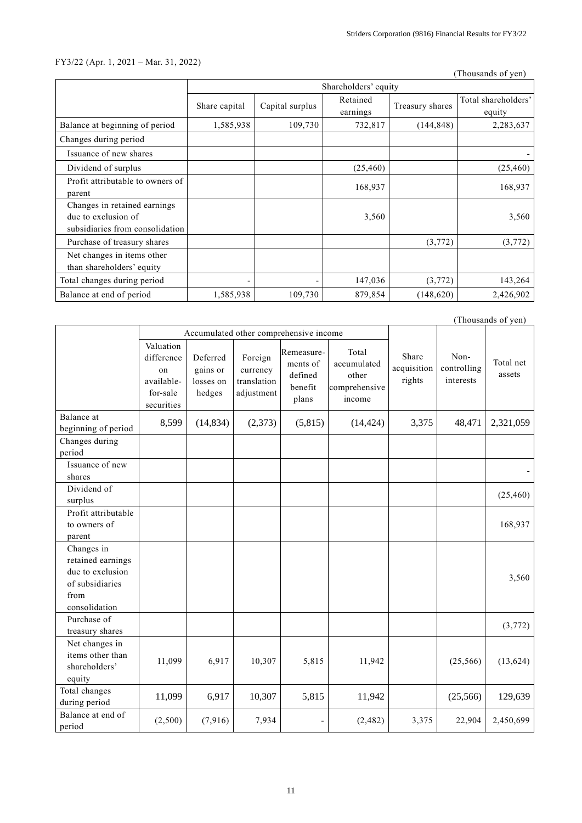## FY3/22 (Apr. 1, 2021 – Mar. 31, 2022)

(Thousands of yen)

|                                                                                        |               |                 | Shareholders' equity |                 |                               |
|----------------------------------------------------------------------------------------|---------------|-----------------|----------------------|-----------------|-------------------------------|
|                                                                                        | Share capital | Capital surplus | Retained<br>earnings | Treasury shares | Total shareholders'<br>equity |
| Balance at beginning of period                                                         | 1,585,938     | 109,730         | 732,817              | (144, 848)      | 2,283,637                     |
| Changes during period                                                                  |               |                 |                      |                 |                               |
| Issuance of new shares                                                                 |               |                 |                      |                 |                               |
| Dividend of surplus                                                                    |               |                 | (25, 460)            |                 | (25, 460)                     |
| Profit attributable to owners of<br>parent                                             |               |                 | 168,937              |                 | 168,937                       |
| Changes in retained earnings<br>due to exclusion of<br>subsidiaries from consolidation |               |                 | 3,560                |                 | 3,560                         |
| Purchase of treasury shares                                                            |               |                 |                      | (3,772)         | (3,772)                       |
| Net changes in items other<br>than shareholders' equity                                |               |                 |                      |                 |                               |
| Total changes during period                                                            |               |                 | 147,036              | (3,772)         | 143,264                       |
| Balance at end of period                                                               | 1,585,938     | 109,730         | 879,854              | (148, 620)      | 2,426,902                     |

|                                                                                                 |                                                                       |                                             |                                                  | (Thousands of yen)                                    |                                                          |                                |                                  |                     |
|-------------------------------------------------------------------------------------------------|-----------------------------------------------------------------------|---------------------------------------------|--------------------------------------------------|-------------------------------------------------------|----------------------------------------------------------|--------------------------------|----------------------------------|---------------------|
|                                                                                                 |                                                                       | Accumulated other comprehensive income      |                                                  |                                                       |                                                          |                                |                                  |                     |
|                                                                                                 | Valuation<br>difference<br>on<br>available-<br>for-sale<br>securities | Deferred<br>gains or<br>losses on<br>hedges | Foreign<br>currency<br>translation<br>adjustment | Remeasure-<br>ments of<br>defined<br>benefit<br>plans | Total<br>accumulated<br>other<br>comprehensive<br>income | Share<br>acquisition<br>rights | Non-<br>controlling<br>interests | Total net<br>assets |
| Balance at<br>beginning of period                                                               | 8,599                                                                 | (14, 834)                                   | (2,373)                                          | (5,815)                                               | (14, 424)                                                | 3,375                          | 48,471                           | 2,321,059           |
| Changes during<br>period                                                                        |                                                                       |                                             |                                                  |                                                       |                                                          |                                |                                  |                     |
| Issuance of new<br>shares                                                                       |                                                                       |                                             |                                                  |                                                       |                                                          |                                |                                  |                     |
| Dividend of<br>surplus                                                                          |                                                                       |                                             |                                                  |                                                       |                                                          |                                |                                  | (25, 460)           |
| Profit attributable<br>to owners of<br>parent                                                   |                                                                       |                                             |                                                  |                                                       |                                                          |                                |                                  | 168,937             |
| Changes in<br>retained earnings<br>due to exclusion<br>of subsidiaries<br>from<br>consolidation |                                                                       |                                             |                                                  |                                                       |                                                          |                                |                                  | 3,560               |
| Purchase of<br>treasury shares                                                                  |                                                                       |                                             |                                                  |                                                       |                                                          |                                |                                  | (3,772)             |
| Net changes in<br>items other than<br>shareholders'<br>equity                                   | 11,099                                                                | 6,917                                       | 10,307                                           | 5,815                                                 | 11,942                                                   |                                | (25, 566)                        | (13, 624)           |
| Total changes<br>during period                                                                  | 11,099                                                                | 6,917                                       | 10,307                                           | 5,815                                                 | 11,942                                                   |                                | (25,566)                         | 129,639             |
| Balance at end of<br>period                                                                     | (2,500)                                                               | (7,916)                                     | 7,934                                            |                                                       | (2, 482)                                                 | 3,375                          | 22,904                           | 2,450,699           |

11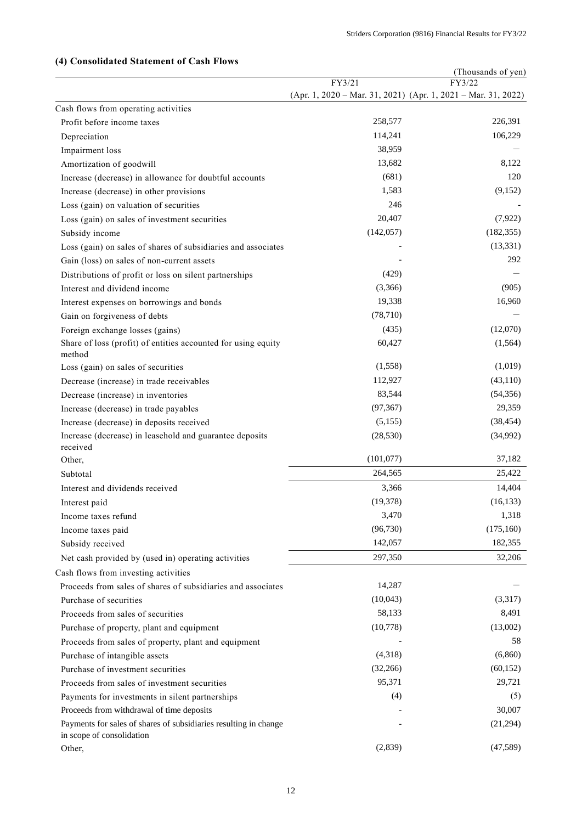## (Thousands of yen) FY3/21 (Apr. 1, 2020 – Mar. 31, 2021) (Apr. 1, 2021 – Mar. 31, 2022) FY3/22 Cash flows from operating activities Profit before income taxes 258,577 226,391 Depreciation 106,229 Impairment loss 38,959 Amortization of goodwill and the set of the set of the set of the set of the set of the set of the set of the set of the set of the set of the set of the set of the set of the set of the set of the set of the set of the se Increase (decrease) in allowance for doubtful accounts (681) (681) 120 Increase (decrease) in other provisions 1,583 (9,152) Loss (gain) on valuation of securities 246 Loss (gain) on sales of investment securities 20,407 (7,922) Subsidy income (142,057) (182,355) (182,355) Loss (gain) on sales of shares of subsidiaries and associates - (13,331) Gain (loss) on sales of non-current assets 400 m  $\frac{292}{292}$ Distributions of profit or loss on silent partnerships (429) Interest and dividend income (3,366) (905) Interest expenses on borrowings and bonds 19,338 16,960 Gain on forgiveness of debts (78,710)  $-$ Foreign exchange losses (gains) (435) (12,070) Share of loss (profit) of entities accounted for using equity method 60,427 (1,564) Loss (gain) on sales of securities (1,019) (1,019) Decrease (increase) in trade receivables 112,927 (43,110) Decrease (increase) in inventories 83,544 (54,356) Increase (decrease) in trade payables (97,367) 29,359 Increase (decrease) in deposits received (5,155) (38,454) Increase (decrease) in leasehold and guarantee deposits received (28,530) (34,992) Other, (101,077) 37,182 Subtotal 264,565 25,422 Interest and dividends received 3,366 3,366 14,404 Interest paid (16,133) (16,133) Income taxes refund 1,318 Income taxes paid  $(96,730)$   $(175,160)$ Subsidy received 142,057 182,355 Net cash provided by (used in) operating activities 297,350 32,206 Cash flows from investing activities Proceeds from sales of shares of subsidiaries and associates 14,287 Purchase of securities (10,043) (3,317) Proceeds from sales of securities 68,491 Purchase of property, plant and equipment (10,778) (13,002) Proceeds from sales of property, plant and equipment  $\sim$  58 Purchase of intangible assets (4,318) (6,860) Purchase of investment securities (32,266) (60,152) Proceeds from sales of investment securities 95,371 29,721 29,721 Payments for investments in silent partnerships (4) (5) Proceeds from withdrawal of time deposits and the series of the series of the series of the series of the series of the series of the series of the series of the series of the series of the series of the series of the seri Payments for sales of shares of subsidiaries resulting in change in scope of consolidation  $(21,294)$ Other, (2,839) (47,589)

#### **(4) Consolidated Statement of Cash Flows**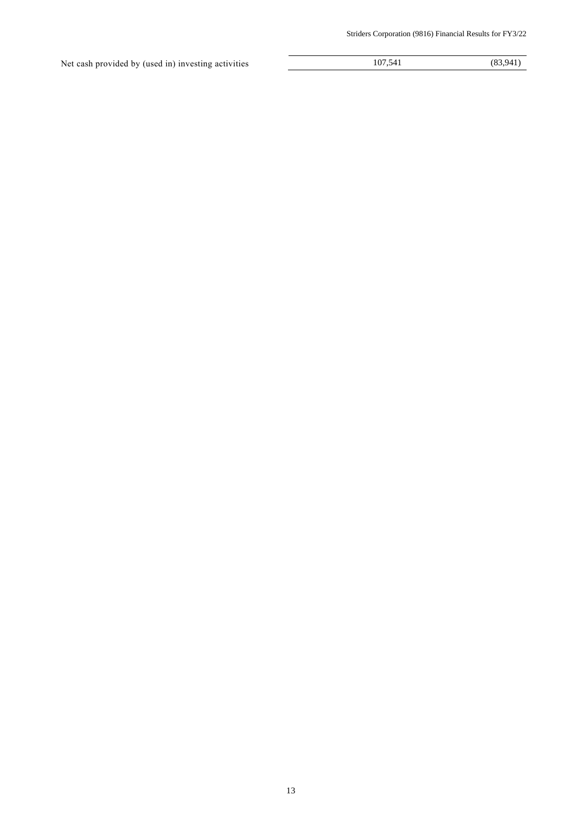Net cash provided by (used in) investing activities 107,541 (83,941)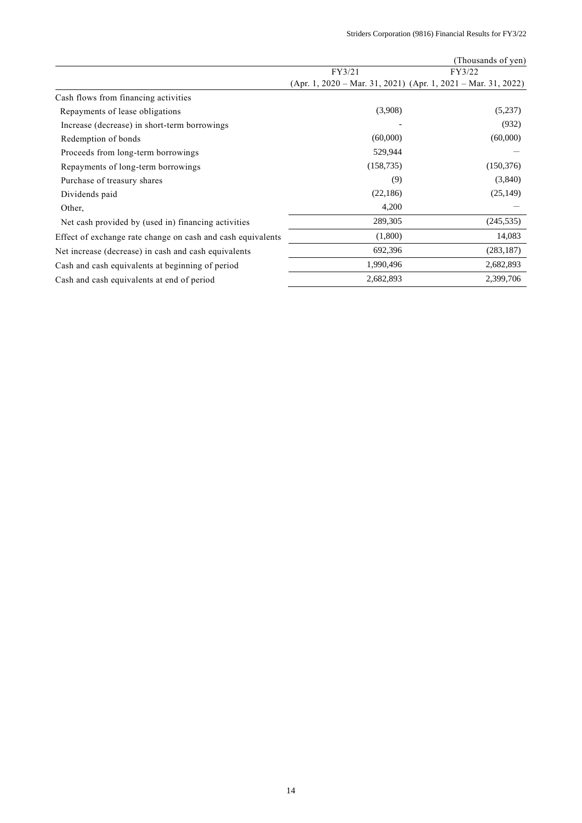|                                                             |                          | (Thousands of yen)                                                |
|-------------------------------------------------------------|--------------------------|-------------------------------------------------------------------|
|                                                             | FY3/21                   | FY3/22                                                            |
|                                                             |                          | $(Apr. 1, 2020 - Mar. 31, 2021)$ $(Apr. 1, 2021 - Mar. 31, 2022)$ |
| Cash flows from financing activities                        |                          |                                                                   |
| Repayments of lease obligations                             | (3,908)                  | (5,237)                                                           |
| Increase (decrease) in short-term borrowings                | $\overline{\phantom{a}}$ | (932)                                                             |
| Redemption of bonds                                         | (60,000)                 | (60,000)                                                          |
| Proceeds from long-term borrowings                          | 529,944                  |                                                                   |
| Repayments of long-term borrowings                          | (158, 735)               | (150, 376)                                                        |
| Purchase of treasury shares                                 | (9)                      | (3,840)                                                           |
| Dividends paid                                              | (22,186)                 | (25, 149)                                                         |
| Other,                                                      | 4,200                    |                                                                   |
| Net cash provided by (used in) financing activities         | 289,305                  | (245, 535)                                                        |
| Effect of exchange rate change on cash and cash equivalents | (1,800)                  | 14,083                                                            |
| Net increase (decrease) in cash and cash equivalents        | 692,396                  | (283, 187)                                                        |
| Cash and cash equivalents at beginning of period            | 1,990,496                | 2,682,893                                                         |
| Cash and cash equivalents at end of period                  | 2,682,893                | 2,399,706                                                         |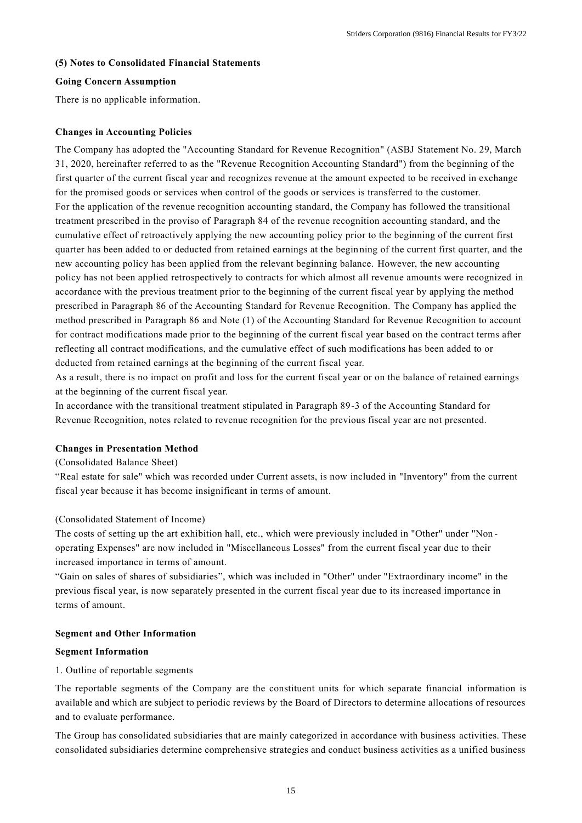## **(5) Notes to Consolidated Financial Statements**

## **Going Concern Assumption**

There is no applicable information.

## **Changes in Accounting Policies**

The Company has adopted the "Accounting Standard for Revenue Recognition" (ASBJ Statement No. 29, March 31, 2020, hereinafter referred to as the "Revenue Recognition Accounting Standard") from the beginning of the first quarter of the current fiscal year and recognizes revenue at the amount expected to be received in exchange for the promised goods or services when control of the goods or services is transferred to the customer. For the application of the revenue recognition accounting standard, the Company has followed the transitional treatment prescribed in the proviso of Paragraph 84 of the revenue recognition accounting standard, and the cumulative effect of retroactively applying the new accounting policy prior to the beginning of the current first quarter has been added to or deducted from retained earnings at the beginning of the current first quarter, and the new accounting policy has been applied from the relevant beginning balance. However, the new accounting policy has not been applied retrospectively to contracts for which almost all revenue amounts were recognized in accordance with the previous treatment prior to the beginning of the current fiscal year by applying the method prescribed in Paragraph 86 of the Accounting Standard for Revenue Recognition. The Company has applied the method prescribed in Paragraph 86 and Note (1) of the Accounting Standard for Revenue Recognition to account for contract modifications made prior to the beginning of the current fiscal year based on the contract terms after reflecting all contract modifications, and the cumulative effect of such modifications has been added to or deducted from retained earnings at the beginning of the current fiscal year.

As a result, there is no impact on profit and loss for the current fiscal year or on the balance of retained earnings at the beginning of the current fiscal year.

In accordance with the transitional treatment stipulated in Paragraph 89-3 of the Accounting Standard for Revenue Recognition, notes related to revenue recognition for the previous fiscal year are not presented.

#### **Changes in Presentation Method**

#### (Consolidated Balance Sheet)

"Real estate for sale" which was recorded under Current assets, is now included in "Inventory" from the current fiscal year because it has become insignificant in terms of amount.

## (Consolidated Statement of Income)

The costs of setting up the art exhibition hall, etc., which were previously included in "Other" under "Non operating Expenses" are now included in "Miscellaneous Losses" from the current fiscal year due to their increased importance in terms of amount.

"Gain on sales of shares of subsidiaries", which was included in "Other" under "Extraordinary income" in the previous fiscal year, is now separately presented in the current fiscal year due to its increased importance in terms of amount.

#### **Segment and Other Information**

#### **Segment Information**

### 1. Outline of reportable segments

The reportable segments of the Company are the constituent units for which separate financial information is available and which are subject to periodic reviews by the Board of Directors to determine allocations of resources and to evaluate performance.

The Group has consolidated subsidiaries that are mainly categorized in accordance with business activities. These consolidated subsidiaries determine comprehensive strategies and conduct business activities as a unified business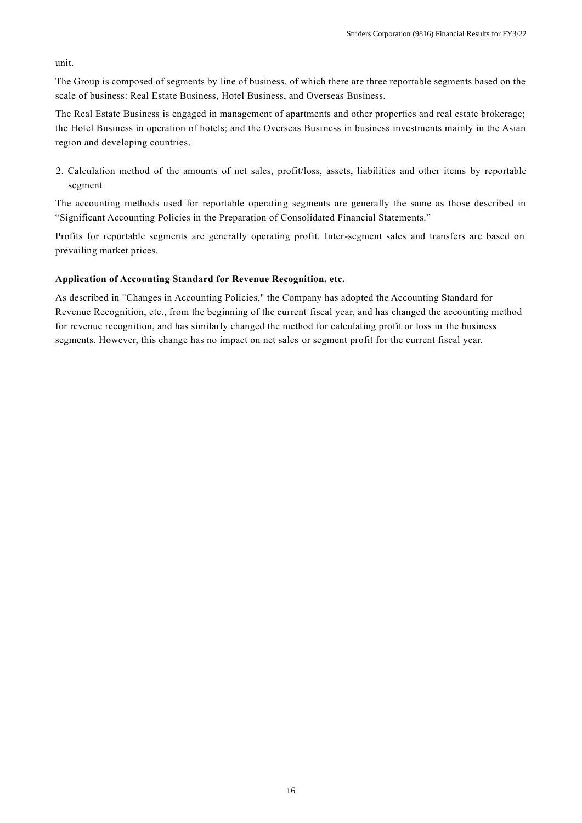unit.

The Group is composed of segments by line of business, of which there are three reportable segments based on the scale of business: Real Estate Business, Hotel Business, and Overseas Business.

The Real Estate Business is engaged in management of apartments and other properties and real estate brokerage; the Hotel Business in operation of hotels; and the Overseas Business in business investments mainly in the Asian region and developing countries.

2. Calculation method of the amounts of net sales, profit/loss, assets, liabilities and other items by reportable segment

The accounting methods used for reportable operating segments are generally the same as those described in "Significant Accounting Policies in the Preparation of Consolidated Financial Statements."

Profits for reportable segments are generally operating profit. Inter-segment sales and transfers are based on prevailing market prices.

## **Application of Accounting Standard for Revenue Recognition, etc.**

As described in "Changes in Accounting Policies," the Company has adopted the Accounting Standard for Revenue Recognition, etc., from the beginning of the current fiscal year, and has changed the accounting method for revenue recognition, and has similarly changed the method for calculating profit or loss in the business segments. However, this change has no impact on net sales or segment profit for the current fiscal year.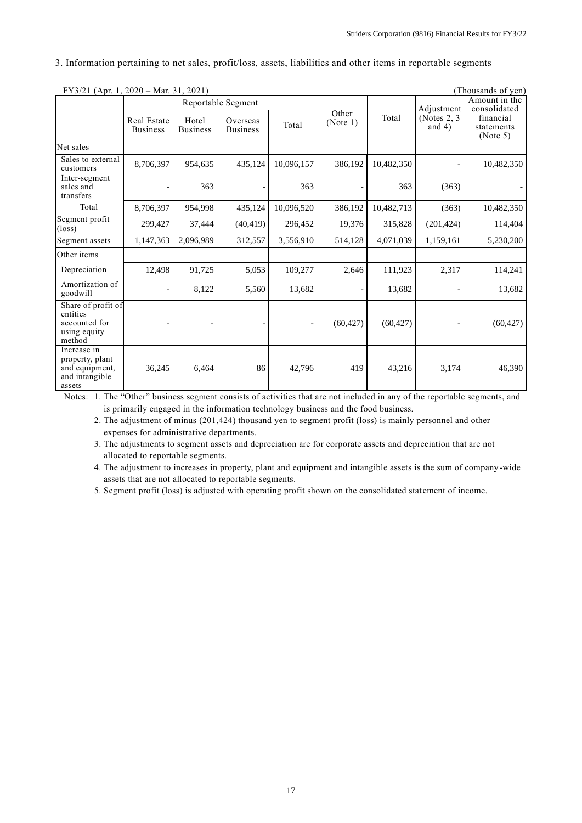3. Information pertaining to net sales, profit/loss, assets, liabilities and other items in reportable segments

| FY3/21 (Apr. 1, 2020 - Mar. 31, 2021)                                        |                                |                          |                             |            |                   |            |                             | (Thousands of yen)                  |
|------------------------------------------------------------------------------|--------------------------------|--------------------------|-----------------------------|------------|-------------------|------------|-----------------------------|-------------------------------------|
|                                                                              |                                |                          | Reportable Segment          |            |                   |            | Adjustment                  | Amount in the<br>consolidated       |
|                                                                              | Real Estate<br><b>Business</b> | Hotel<br><b>Business</b> | Overseas<br><b>Business</b> | Total      | Other<br>(Note 1) | Total      | (Notes $2, 3$ )<br>and $4)$ | financial<br>statements<br>(Note 5) |
| Net sales                                                                    |                                |                          |                             |            |                   |            |                             |                                     |
| Sales to external<br>customers                                               | 8,706,397                      | 954,635                  | 435,124                     | 10,096,157 | 386,192           | 10,482,350 |                             | 10,482,350                          |
| Inter-segment<br>sales and<br>transfers                                      |                                | 363                      |                             | 363        |                   | 363        | (363)                       |                                     |
| Total                                                                        | 8,706,397                      | 954,998                  | 435,124                     | 10,096,520 | 386,192           | 10,482,713 | (363)                       | 10,482,350                          |
| Segment profit<br>$(\text{loss})$                                            | 299,427                        | 37,444                   | (40, 419)                   | 296,452    | 19,376            | 315,828    | (201, 424)                  | 114,404                             |
| Segment assets                                                               | 1,147,363                      | 2,096,989                | 312,557                     | 3,556,910  | 514,128           | 4,071,039  | 1,159,161                   | 5,230,200                           |
| Other items                                                                  |                                |                          |                             |            |                   |            |                             |                                     |
| Depreciation                                                                 | 12,498                         | 91,725                   | 5,053                       | 109,277    | 2,646             | 111,923    | 2,317                       | 114,241                             |
| Amortization of<br>goodwill                                                  |                                | 8,122                    | 5,560                       | 13,682     |                   | 13,682     |                             | 13,682                              |
| Share of profit of<br>entities<br>accounted for<br>using equity<br>method    |                                |                          |                             |            | (60, 427)         | (60, 427)  |                             | (60, 427)                           |
| Increase in<br>property, plant<br>and equipment,<br>and intangible<br>assets | 36,245                         | 6,464                    | 86                          | 42,796     | 419               | 43,216     | 3,174                       | 46,390                              |

Notes: 1. The "Other" business segment consists of activities that are not included in any of the reportable segments, and is primarily engaged in the information technology business and the food business.

2. The adjustment of minus (201,424) thousand yen to segment profit (loss) is mainly personnel and other expenses for administrative departments.

3. The adjustments to segment assets and depreciation are for corporate assets and depreciation that are not allocated to reportable segments.

4. The adjustment to increases in property, plant and equipment and intangible assets is the sum of company -wide assets that are not allocated to reportable segments.

5. Segment profit (loss) is adjusted with operating profit shown on the consolidated stat ement of income.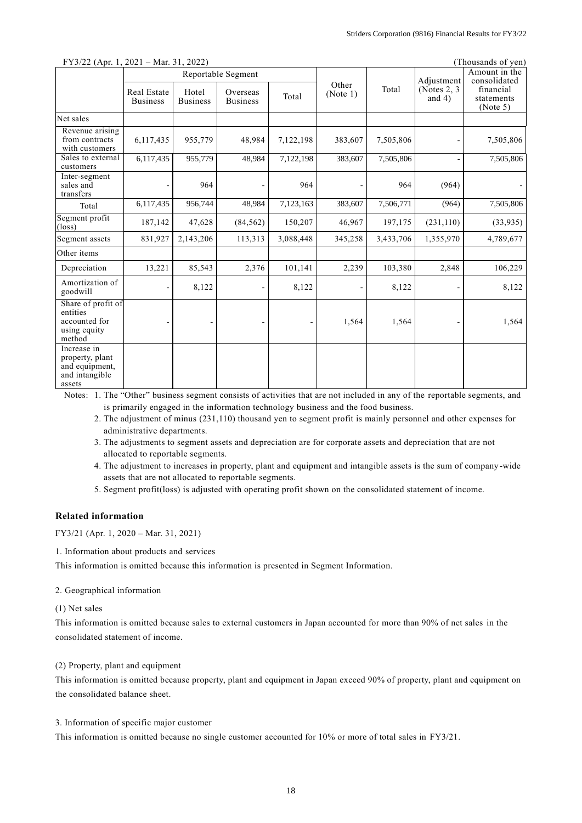| <b>FY3</b> /22 (Apr. 1, 2021 – Mar. 31, 2022)<br>(Inousands of yen)          |                                |                          |                             |           |                   |            |                               |                                     |
|------------------------------------------------------------------------------|--------------------------------|--------------------------|-----------------------------|-----------|-------------------|------------|-------------------------------|-------------------------------------|
|                                                                              | Reportable Segment             |                          |                             |           |                   | Adjustment | Amount in the<br>consolidated |                                     |
|                                                                              | Real Estate<br><b>Business</b> | Hotel<br><b>Business</b> | Overseas<br><b>Business</b> | Total     | Other<br>(Note 1) | Total      | (Notes $2, 3$ )<br>and $4)$   | financial<br>statements<br>(Note 5) |
| Net sales                                                                    |                                |                          |                             |           |                   |            |                               |                                     |
| Revenue arising<br>from contracts<br>with customers                          | 6,117,435                      | 955,779                  | 48,984                      | 7,122,198 | 383,607           | 7,505,806  |                               | 7,505,806                           |
| Sales to external<br>customers                                               | 6,117,435                      | 955,779                  | 48,984                      | 7,122,198 | 383,607           | 7,505,806  |                               | 7,505,806                           |
| Inter-segment<br>sales and<br>transfers                                      |                                | 964                      |                             | 964       |                   | 964        | (964)                         |                                     |
| Total                                                                        | 6,117,435                      | 956,744                  | 48,984                      | 7,123,163 | 383,607           | 7,506,771  | (964)                         | 7,505,806                           |
| Segment profit<br>$(\text{loss})$                                            | 187,142                        | 47,628                   | (84, 562)                   | 150,207   | 46,967            | 197,175    | (231, 110)                    | (33,935)                            |
| Segment assets                                                               | 831,927                        | 2,143,206                | 113,313                     | 3,088,448 | 345,258           | 3,433,706  | 1,355,970                     | 4,789,677                           |
| Other items                                                                  |                                |                          |                             |           |                   |            |                               |                                     |
| Depreciation                                                                 | 13,221                         | 85,543                   | 2,376                       | 101,141   | 2,239             | 103,380    | 2,848                         | 106,229                             |
| Amortization of<br>goodwill                                                  |                                | 8,122                    |                             | 8,122     |                   | 8,122      |                               | 8,122                               |
| Share of profit of<br>entities<br>accounted for<br>using equity<br>method    |                                |                          |                             |           | 1,564             | 1,564      |                               | 1,564                               |
| Increase in<br>property, plant<br>and equipment,<br>and intangible<br>assets |                                |                          |                             |           |                   |            |                               |                                     |

## $F<sub>3</sub>$  (Apr. 1, 2021) Mar. 21, 2022) (Thousands of yen)

Notes: 1. The "Other" business segment consists of activities that are not included in any of the reportable segments, and is primarily engaged in the information technology business and the food business.

- 2. The adjustment of minus (231,110) thousand yen to segment profit is mainly personnel and other expenses for administrative departments.
- 3. The adjustments to segment assets and depreciation are for corporate assets and depreciation that are not allocated to reportable segments.
- 4. The adjustment to increases in property, plant and equipment and intangible assets is the sum of company -wide assets that are not allocated to reportable segments.
- 5. Segment profit(loss) is adjusted with operating profit shown on the consolidated statement of income.

## **Related information**

FY3/21 (Apr. 1, 2020 – Mar. 31, 2021)

1. Information about products and services

This information is omitted because this information is presented in Segment Information.

#### 2. Geographical information

## (1) Net sales

This information is omitted because sales to external customers in Japan accounted for more than 90% of net sales in the consolidated statement of income.

#### (2) Property, plant and equipment

This information is omitted because property, plant and equipment in Japan exceed 90% of property, plant and equipment on the consolidated balance sheet.

#### 3. Information of specific major customer

This information is omitted because no single customer accounted for 10% or more of total sales in FY3/21.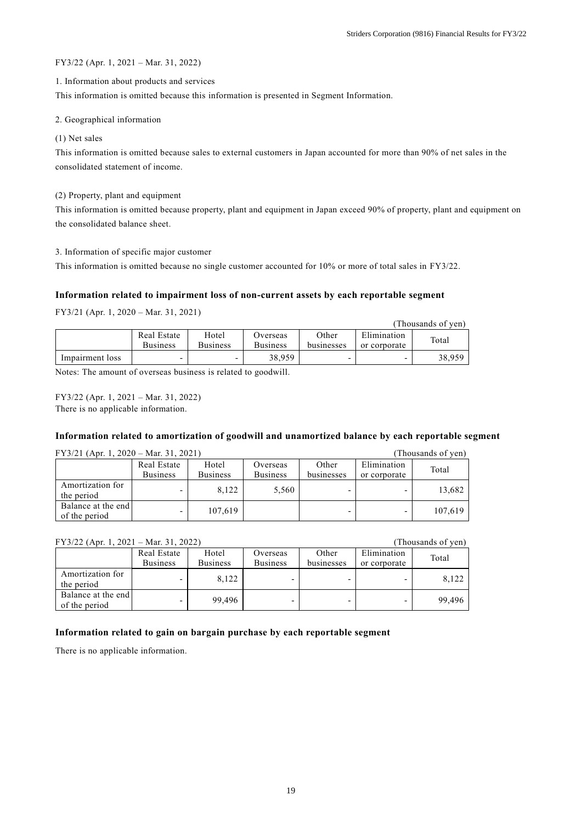$(Thoucendes of von)$ 

### FY3/22 (Apr. 1, 2021 – Mar. 31, 2022)

#### 1. Information about products and services

This information is omitted because this information is presented in Segment Information.

#### 2. Geographical information

#### (1) Net sales

This information is omitted because sales to external customers in Japan accounted for more than 90% of net sales in the consolidated statement of income.

#### (2) Property, plant and equipment

This information is omitted because property, plant and equipment in Japan exceed 90% of property, plant and equipment on the consolidated balance sheet.

### 3. Information of specific major customer

This information is omitted because no single customer accounted for 10% or more of total sales in FY3/22.

## **Information related to impairment loss of non-current assets by each reportable segment**

FY3/21 (Apr. 1, 2020 – Mar. 31, 2021)

|                 |                                |                          |                             |                     |                             | Thousands of vehi |
|-----------------|--------------------------------|--------------------------|-----------------------------|---------------------|-----------------------------|-------------------|
|                 | Real Estate<br><b>Business</b> | Hotel<br><b>Business</b> | Overseas<br><b>Business</b> | Other<br>businesses | Elimination<br>or corporate | Total             |
| Impairment loss |                                | -                        | 38,959                      |                     |                             | 38,959            |

Notes: The amount of overseas business is related to goodwill.

FY3/22 (Apr. 1, 2021 – Mar. 31, 2022) There is no applicable information.

## **Information related to amortization of goodwill and unamortized balance by each reportable segment**

| $FY3/21$ (Apr. 1, 2020 – Mar. 31, 2021) | (Thousands of yen)       |                 |                 |            |              |         |
|-----------------------------------------|--------------------------|-----------------|-----------------|------------|--------------|---------|
|                                         | Real Estate              | Hotel           | Overseas        | Other      | Elimination  | Total   |
|                                         | <b>Business</b>          | <b>Business</b> | <b>Business</b> | businesses | or corporate |         |
| Amortization for                        |                          | 8.122           | 5,560           |            |              | 13,682  |
| the period                              |                          |                 |                 |            |              |         |
| Balance at the end                      |                          | 107,619         |                 |            |              | 107.619 |
| of the period                           | $\overline{\phantom{0}}$ |                 |                 |            | -            |         |

## FY3/22 (Apr. 1, 2021 – Mar. 31, 2022) (Thousands of yen)

| $1.110$ where $0.1$ , $0.11$ ,      |                                |                          |                             |                     |                             |        |
|-------------------------------------|--------------------------------|--------------------------|-----------------------------|---------------------|-----------------------------|--------|
|                                     | Real Estate<br><b>Business</b> | Hotel<br><b>Business</b> | Overseas<br><b>Business</b> | Other<br>businesses | Elimination<br>or corporate | Total  |
| Amortization for<br>the period      |                                | 8.122                    |                             |                     |                             | 8.122  |
| Balance at the end<br>of the period |                                | 99.496                   |                             |                     |                             | 99.496 |

## **Information related to gain on bargain purchase by each reportable segment**

There is no applicable information.